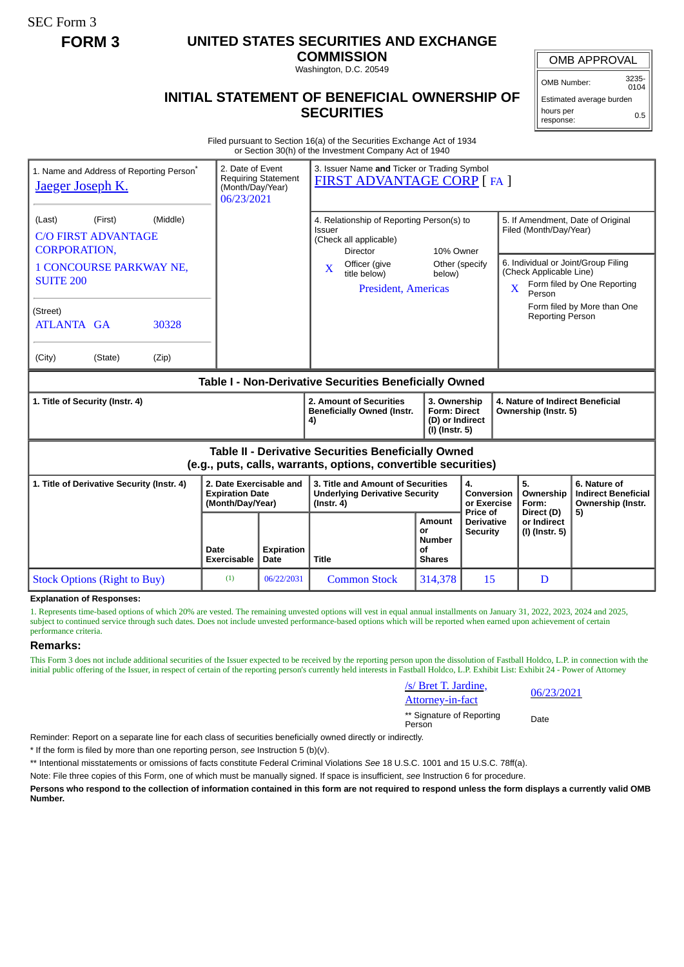SEC Form 3

# **FORM 3 UNITED STATES SECURITIES AND EXCHANGE**

**COMMISSION** Washington, D.C. 20549

## **INITIAL STATEMENT OF BENEFICIAL OWNERSHIP OF SECURITIES**

OMB APPROVAL

OMB Number: 3235- 0104

Estimated average burden hours per response: 0.5

Filed pursuant to Section 16(a) of the Securities Exchange Act of 1934 or Section 30(h) of the Investment Company Act of 1940

| 1. Name and Address of Reporting Person <sup>®</sup><br>Jaeger Joseph K.                                                                                                                                         | 2. Date of Event<br>(Month/Day/Year)<br>06/23/2021                    | <b>Requiring Statement</b> | 3. Issuer Name and Ticker or Trading Symbol<br>FIRST ADVANTAGE CORP [ FA ]                                                                                                      |                                                      |                                                                                                                                      |                                                                                             |                                                                                                                                        |  |
|------------------------------------------------------------------------------------------------------------------------------------------------------------------------------------------------------------------|-----------------------------------------------------------------------|----------------------------|---------------------------------------------------------------------------------------------------------------------------------------------------------------------------------|------------------------------------------------------|--------------------------------------------------------------------------------------------------------------------------------------|---------------------------------------------------------------------------------------------|----------------------------------------------------------------------------------------------------------------------------------------|--|
| (Middle)<br>(First)<br>(Last)<br><b>C/O FIRST ADVANTAGE</b><br><b>CORPORATION,</b><br><b>1 CONCOURSE PARKWAY NE,</b><br><b>SUITE 200</b><br>(Street)<br><b>ATLANTA GA</b><br>30328<br>(City)<br>(State)<br>(Zip) |                                                                       |                            | 4. Relationship of Reporting Person(s) to<br>Issuer<br>(Check all applicable)<br><b>Director</b><br>Officer (give<br>$\mathbf{X}$<br>title below)<br><b>President, Americas</b> | 10% Owner<br>Other (specify<br>below)                |                                                                                                                                      | Filed (Month/Day/Year)<br>(Check Applicable Line)<br>X<br>Person<br><b>Reporting Person</b> | 5. If Amendment, Date of Original<br>6. Individual or Joint/Group Filing<br>Form filed by One Reporting<br>Form filed by More than One |  |
| Table I - Non-Derivative Securities Beneficially Owned                                                                                                                                                           |                                                                       |                            |                                                                                                                                                                                 |                                                      |                                                                                                                                      |                                                                                             |                                                                                                                                        |  |
| 1. Title of Security (Instr. 4)                                                                                                                                                                                  |                                                                       |                            | 2. Amount of Securities<br><b>Beneficially Owned (Instr.</b><br>4)                                                                                                              |                                                      | 3. Ownership<br>4. Nature of Indirect Beneficial<br><b>Form: Direct</b><br>Ownership (Instr. 5)<br>(D) or Indirect<br>(I) (Instr. 5) |                                                                                             |                                                                                                                                        |  |
| <b>Table II - Derivative Securities Beneficially Owned</b><br>(e.g., puts, calls, warrants, options, convertible securities)                                                                                     |                                                                       |                            |                                                                                                                                                                                 |                                                      |                                                                                                                                      |                                                                                             |                                                                                                                                        |  |
| 1. Title of Derivative Security (Instr. 4)                                                                                                                                                                       | 2. Date Exercisable and<br><b>Expiration Date</b><br>(Month/Day/Year) |                            | 3. Title and Amount of Securities<br><b>Underlying Derivative Security</b><br>$($ Instr. 4 $)$                                                                                  |                                                      | 4.<br><b>Conversion</b><br>or Exercise<br>Price of                                                                                   | 5.<br>Ownership<br>Form:                                                                    | 6. Nature of<br><b>Indirect Beneficial</b><br>Ownership (Instr.                                                                        |  |
|                                                                                                                                                                                                                  | Date<br><b>Exercisable</b>                                            | <b>Expiration</b><br>Date  | Title                                                                                                                                                                           | Amount<br>or<br><b>Number</b><br>Ωf<br><b>Shares</b> | <b>Derivative</b><br><b>Security</b>                                                                                                 | Direct (D)<br>or Indirect<br>(I) (Instr. 5)                                                 | 5)                                                                                                                                     |  |
| <b>Stock Options (Right to Buy)</b>                                                                                                                                                                              | (1)                                                                   | 06/22/2031                 | <b>Common Stock</b>                                                                                                                                                             | 314,378                                              | 15                                                                                                                                   | D                                                                                           |                                                                                                                                        |  |

#### **Explanation of Responses:**

1. Represents time-based options of which 20% are vested. The remaining unvested options will vest in equal annual installments on January 31, 2022, 2023, 2024 and 2025, subject to continued service through such dates. Does not include unvested performance-based options which will be reported when earned upon achievement of certain performance criteria.

#### **Remarks:**

This Form 3 does not include additional securities of the Issuer expected to be received by the reporting person upon the dissolution of Fastball Holdco, L.P. in connection with the initial public offering of the Issuer, in respect of certain of the reporting person's currently held interests in Fastball Holdco, L.P. Exhibit List: Exhibit 24 - Power of Attorney

| /s/ Bret T. Jardine,<br><b>Attorney-in-fact</b> | 06/2 |
|-------------------------------------------------|------|
| ** Signature of Reporting                       |      |
| Person                                          | Date |

Attorney-in-fact 06/23/2021

Reminder: Report on a separate line for each class of securities beneficially owned directly or indirectly.

\* If the form is filed by more than one reporting person, *see* Instruction 5 (b)(v).

\*\* Intentional misstatements or omissions of facts constitute Federal Criminal Violations *See* 18 U.S.C. 1001 and 15 U.S.C. 78ff(a).

Note: File three copies of this Form, one of which must be manually signed. If space is insufficient, *see* Instruction 6 for procedure.

**Persons who respond to the collection of information contained in this form are not required to respond unless the form displays a currently valid OMB Number.**